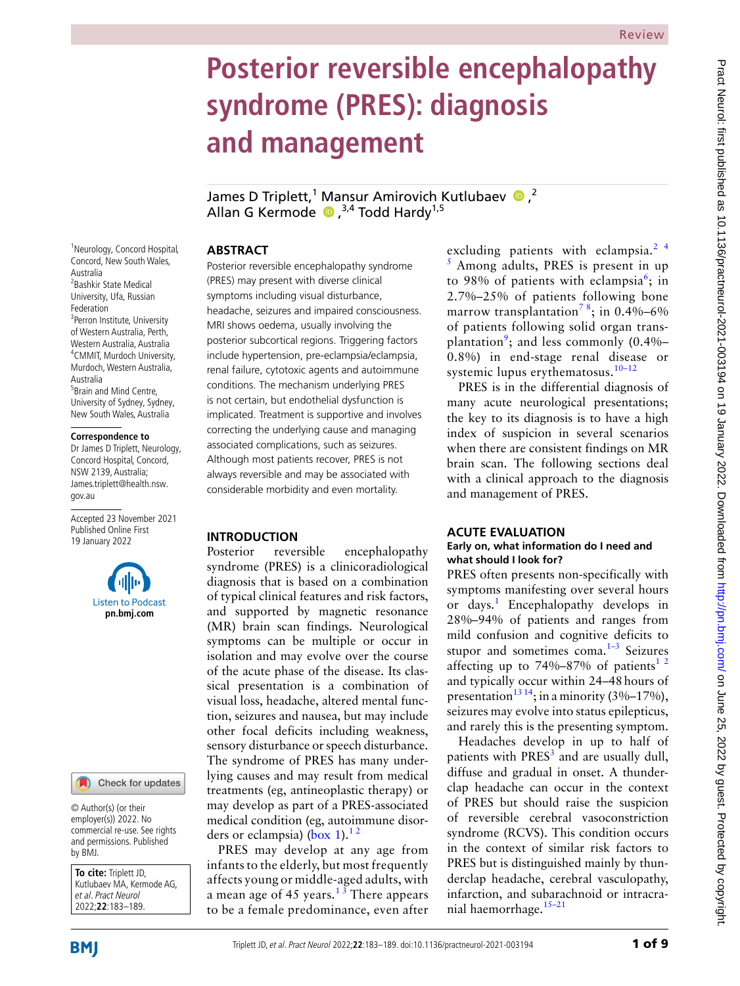# **Posterior reversible encephalopathy syndrome (PRES): diagnosis and management**

James D Triplett,<sup>1</sup> Mansur Amirovich Kutlubaev  $\bullet$ ,<sup>2</sup> Allan G Kermode  $\bullet$ ,  $^{3,4}$  Todd Hardy<sup>1,5</sup>

# **Abstract**

Posterior reversible encephalopathy syndrome (PRES) may present with diverse clinical symptoms including visual disturbance, headache, seizures and impaired consciousness. MRI shows oedema, usually involving the posterior subcortical regions. Triggering factors include hypertension, pre-eclampsia/eclampsia, renal failure, cytotoxic agents and autoimmune conditions. The mechanism underlying PRES is not certain, but endothelial dysfunction is implicated. Treatment is supportive and involves correcting the underlying cause and managing associated complications, such as seizures. Although most patients recover, PRES is not always reversible and may be associated with considerable morbidity and even mortality.

# **Introduction**

Posterior reversible encephalopathy syndrome (PRES) is a clinicoradiological diagnosis that is based on a combination of typical clinical features and risk factors, and supported by magnetic resonance (MR) brain scan findings. Neurological symptoms can be multiple or occur in isolation and may evolve over the course of the acute phase of the disease. Its classical presentation is a combination of visual loss, headache, altered mental function, seizures and nausea, but may include other focal deficits including weakness, sensory disturbance or speech disturbance. The syndrome of PRES has many underlying causes and may result from medical treatments (eg, antineoplastic therapy) or may develop as part of a PRES-associated medical condition (eg, autoimmune disor-ders or eclampsia) [\(box](#page-1-0) 1).<sup>12</sup>

PRES may develop at any age from infants to the elderly, but most frequently affects young or middle-aged adults, with a mean age of 45 years.<sup>13</sup> There appears to be a female predominance, even after excluding patients with eclampsia. $2<sup>4</sup>$ 5 Among adults, PRES is present in up to 98% of patients with eclampsia<sup>[6](#page-6-2)</sup>; in 2.7%–25% of patients following bone marrow transplantation<sup>78</sup>; in 0.4%–6% of patients following solid organ trans-plantation<sup>[9](#page-6-3)</sup>; and less commonly (0.4%– 0.8%) in end-stage renal disease or systemic lupus erythematosus.<sup>10-12</sup>

PRES is in the differential diagnosis of many acute neurological presentations; the key to its diagnosis is to have a high index of suspicion in several scenarios when there are consistent findings on MR brain scan. The following sections deal with a clinical approach to the diagnosis and management of PRES.

# **Acute evaluation**

#### **Early on, what information do I need and what should I look for?**

PRES often presents non-specifically with symptoms manifesting over several hours or days.<sup>[1](#page-6-0)</sup> Encephalopathy develops in 28%–94% of patients and ranges from mild confusion and cognitive deficits to stupor and sometimes coma.<sup>1-3</sup> Seizures affecting up to 74%–87% of patients<sup>[1 2](#page-6-0)</sup> and typically occur within 24–48hours of presentation<sup>[13 14](#page-6-5)</sup>; in a minority (3%–17%), seizures may evolve into status epilepticus, and rarely this is the presenting symptom.

Headaches develop in up to half of patients with PRES<sup>[3](#page-6-6)</sup> and are usually dull, diffuse and gradual in onset. A thunderclap headache can occur in the context of PRES but should raise the suspicion of reversible cerebral vasoconstriction syndrome (RCVS). This condition occurs in the context of similar risk factors to PRES but is distinguished mainly by thunderclap headache, cerebral vasculopathy, infarction, and subarachnoid or intracranial haemorrhage[.15–21](#page-6-7)

<sup>1</sup>Neurology, Concord Hospital, Concord, New South Wales, Australia 2 Bashkir State Medical University, Ufa, Russian Federation <sup>3</sup>Perron Institute, University of Western Australia, Perth, Western Australia, Australia 4 CMMIT, Murdoch University, Murdoch, Western Australia, Australia <sup>5</sup> Brain and Mind Centre, University of Sydney, Sydney, New South Wales, Australia

#### **Correspondence to**

Dr James D Triplett, Neurology, Concord Hospital, Concord, NSW 2139, Australia; James.triplett@health.nsw. gov.au

Accepted 23 November 2021 Published Online First 19 January 2022





© Author(s) (or their employer(s)) 2022. No commercial re-use. See rights and permissions. Published by BMJ.

**To cite:** Triplett JD, Kutlubaev MA, Kermode AG, et al. Pract Neurol 2022;**22**:183–189.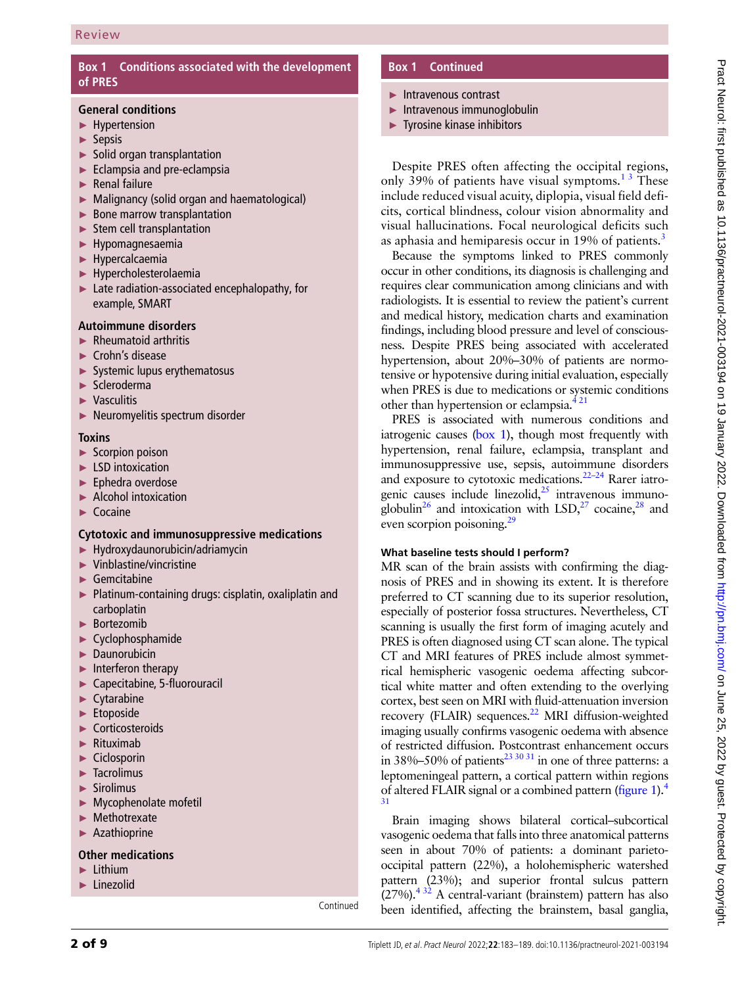# **Box 1 Conditions associated with the development of PRES**

## <span id="page-1-0"></span>**General conditions**

- ► Hypertension
- ► Sepsis
- ► Solid organ transplantation
- ► Eclampsia and pre-eclampsia
- ► Renal failure
- ► Malignancy (solid organ and haematological)
- ► Bone marrow transplantation
- $\blacktriangleright$  Stem cell transplantation
- ► Hypomagnesaemia
- ► Hypercalcaemia
- ► Hypercholesterolaemia
- ► Late radiation-associated encephalopathy, for example, SMART

# **Autoimmune disorders**

- $\blacktriangleright$  Rheumatoid arthritis
- ► Crohn's disease
- ► Systemic lupus erythematosus
- ► Scleroderma
- ► Vasculitis
- ► Neuromyelitis spectrum disorder

#### **Toxins**

- ► Scorpion poison
- ► LSD intoxication
- ► Ephedra overdose
- ► Alcohol intoxication
- ► Cocaine

## **Cytotoxic and immunosuppressive medications**

- ► Hydroxydaunorubicin/adriamycin
- ► Vinblastine/vincristine
- $\blacktriangleright$  Gemcitabine
- ► Platinum-containing drugs: cisplatin, oxaliplatin and carboplatin
- ► Bortezomib
- ► Cyclophosphamide
- ► Daunorubicin
- $\blacktriangleright$  Interferon therapy
- ► Capecitabine, 5-fluorouracil
- ► Cytarabine
- ► Etoposide
- ► Corticosteroids
- ► Rituximab
- ► Ciclosporin
- ► Tacrolimus
- ► Sirolimus
- ► Mycophenolate mofetil
- ► Methotrexate
- ► Azathioprine

## **Other medications**

- ► Lithium
- ► Linezolid

Continued

# **Box 1 Continued**

- ► Intravenous contrast
- ► Intravenous immunoglobulin
- ► Tyrosine kinase inhibitors

Despite PRES often affecting the occipital regions, only 39% of patients have visual symptoms.<sup>13</sup> These include reduced visual acuity, diplopia, visual field deficits, cortical blindness, colour vision abnormality and visual hallucinations. Focal neurological deficits such as aphasia and hemiparesis occur in 19% of patients.<sup>3</sup>

Because the symptoms linked to PRES commonly occur in other conditions, its diagnosis is challenging and requires clear communication among clinicians and with radiologists. It is essential to review the patient's current and medical history, medication charts and examination findings, including blood pressure and level of consciousness. Despite PRES being associated with accelerated hypertension, about 20%–30% of patients are normotensive or hypotensive during initial evaluation, especially when PRES is due to medications or systemic conditions other than hypertension or eclampsia. $4^{21}$ 

PRES is associated with numerous conditions and iatrogenic causes [\(box](#page-1-0) 1), though most frequently with hypertension, renal failure, eclampsia, transplant and immunosuppressive use, sepsis, autoimmune disorders and exposure to cytotoxic medications. $22-24$  Rarer iatrogenic causes include linezolid, $^{25}$  intravenous immunoglobulin<sup>26</sup> and intoxication with LSD,<sup>27</sup> cocaine,<sup>28</sup> and even scorpion poisoning.<sup>29</sup>

## **What baseline tests should I perform?**

MR scan of the brain assists with confirming the diagnosis of PRES and in showing its extent. It is therefore preferred to CT scanning due to its superior resolution, especially of posterior fossa structures. Nevertheless, CT scanning is usually the first form of imaging acutely and PRES is often diagnosed using CT scan alone. The typical CT and MRI features of PRES include almost symmetrical hemispheric vasogenic oedema affecting subcortical white matter and often extending to the overlying cortex, best seen on MRI with fluid-attenuation inversion recovery (FLAIR) sequences. $^{22}$  MRI diffusion-weighted imaging usually confirms vasogenic oedema with absence of restricted diffusion. Postcontrast enhancement occurs in 38%–50% of patients<sup>23 30 31</sup> in one of three patterns: a leptomeningeal pattern, a cortical pattern within regions of altered FLAIR signal or a combined pattern ([figure](#page-2-0) 1).<sup>[4](#page-6-8)</sup> [31](#page-6-8)

Brain imaging shows bilateral cortical–subcortical vasogenic oedema that falls into three anatomical patterns seen in about 70% of patients: a dominant parietooccipital pattern (22%), a holohemispheric watershed pattern (23%); and superior frontal sulcus pattern  $(27%)$ .<sup>432</sup> A central-variant (brainstem) pattern has also been identified, affecting the brainstem, basal ganglia,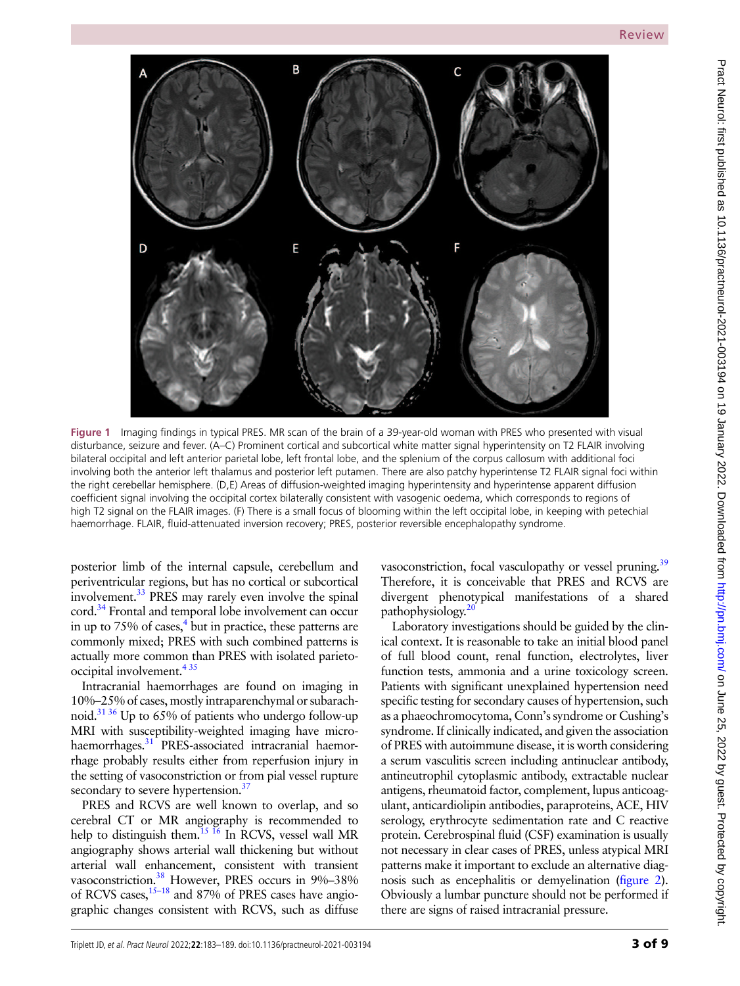

<span id="page-2-0"></span>**Figure 1** Imaging findings in typical PRES. MR scan of the brain of a 39-year-old woman with PRES who presented with visual disturbance, seizure and fever. (A–C) Prominent cortical and subcortical white matter signal hyperintensity on T2 FLAIR involving bilateral occipital and left anterior parietal lobe, left frontal lobe, and the splenium of the corpus callosum with additional foci involving both the anterior left thalamus and posterior left putamen. There are also patchy hyperintense T2 FLAIR signal foci within the right cerebellar hemisphere. (D,E) Areas of diffusion-weighted imaging hyperintensity and hyperintense apparent diffusion coefficient signal involving the occipital cortex bilaterally consistent with vasogenic oedema, which corresponds to regions of high T2 signal on the FLAIR images. (F) There is a small focus of blooming within the left occipital lobe, in keeping with petechial haemorrhage. FLAIR, fluid-attenuated inversion recovery; PRES, posterior reversible encephalopathy syndrome.

posterior limb of the internal capsule, cerebellum and periventricular regions, but has no cortical or subcortical involvement[.33](#page-7-7) PRES may rarely even involve the spinal cord.<sup>34</sup> Frontal and temporal lobe involvement can occur in up to  $75\%$  of cases,<sup>4</sup> but in practice, these patterns are commonly mixed; PRES with such combined patterns is actually more common than PRES with isolated parietooccipital involvement[.4 35](#page-6-8)

Intracranial haemorrhages are found on imaging in 10%–25% of cases, mostly intraparenchymal or subarachnoid.<sup>31 36</sup> Up to 65% of patients who undergo follow-up MRI with susceptibility-weighted imaging have microhaemorrhages.<sup>31</sup> PRES-associated intracranial haemorrhage probably results either from reperfusion injury in the setting of vasoconstriction or from pial vessel rupture secondary to severe hypertension. $37$ 

PRES and RCVS are well known to overlap, and so cerebral CT or MR angiography is recommended to help to distinguish them.<sup>15 16</sup> In RCVS, vessel wall MR angiography shows arterial wall thickening but without arterial wall enhancement, consistent with transient vasoconstriction.<sup>38</sup> However, PRES occurs in 9%-38% of RCVS cases,<sup>15–18</sup> and 87% of PRES cases have angiographic changes consistent with RCVS, such as diffuse

vasoconstriction, focal vasculopathy or vessel pruning.<sup>39</sup> Therefore, it is conceivable that PRES and RCVS are divergent phenotypical manifestations of a shared pathophysiology. $20$ 

Laboratory investigations should be guided by the clinical context. It is reasonable to take an initial blood panel of full blood count, renal function, electrolytes, liver function tests, ammonia and a urine toxicology screen. Patients with significant unexplained hypertension need specific testing for secondary causes of hypertension, such as a phaeochromocytoma, Conn's syndrome or Cushing's syndrome. If clinically indicated, and given the association of PRES with autoimmune disease, it is worth considering a serum vasculitis screen including antinuclear antibody, antineutrophil cytoplasmic antibody, extractable nuclear antigens, rheumatoid factor, complement, lupus anticoagulant, anticardiolipin antibodies, paraproteins, ACE, HIV serology, erythrocyte sedimentation rate and C reactive protein. Cerebrospinal fluid (CSF) examination is usually not necessary in clear cases of PRES, unless atypical MRI patterns make it important to exclude an alternative diagnosis such as encephalitis or demyelination [\(figure](#page-3-0) 2). Obviously a lumbar puncture should not be performed if there are signs of raised intracranial pressure.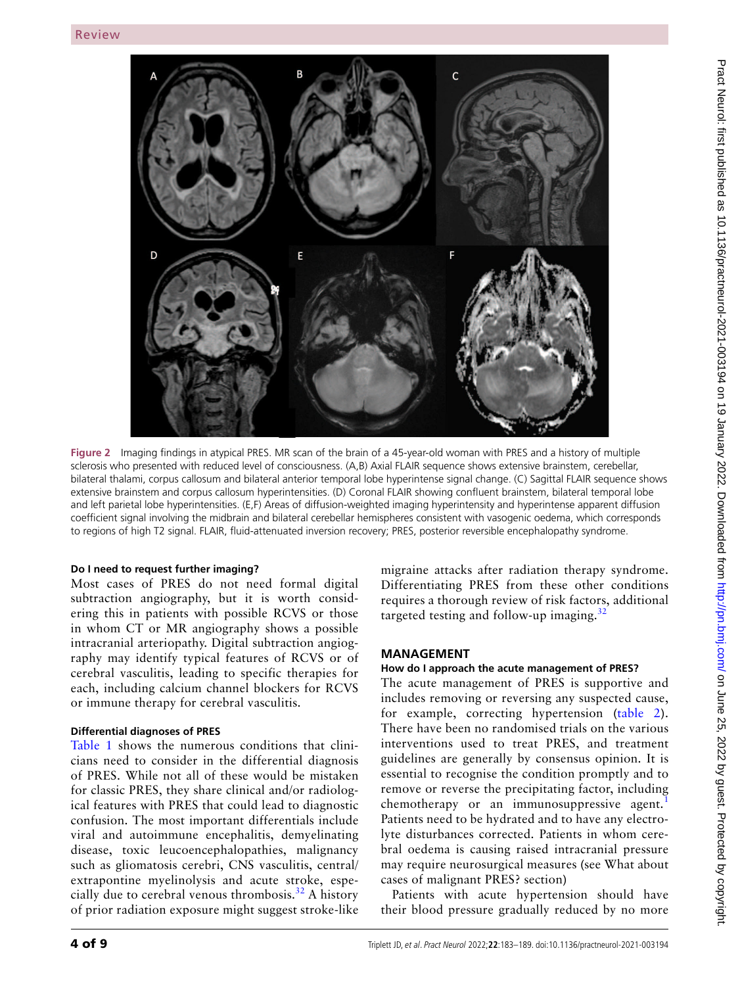

<span id="page-3-0"></span>**Figure 2** Imaging findings in atypical PRES. MR scan of the brain of a 45-year-old woman with PRES and a history of multiple sclerosis who presented with reduced level of consciousness. (A,B) Axial FLAIR sequence shows extensive brainstem, cerebellar, bilateral thalami, corpus callosum and bilateral anterior temporal lobe hyperintense signal change. (C) Sagittal FLAIR sequence shows extensive brainstem and corpus callosum hyperintensities. (D) Coronal FLAIR showing confluent brainstem, bilateral temporal lobe and left parietal lobe hyperintensities. (E,F) Areas of diffusion-weighted imaging hyperintensity and hyperintense apparent diffusion coefficient signal involving the midbrain and bilateral cerebellar hemispheres consistent with vasogenic oedema, which corresponds to regions of high T2 signal. FLAIR, fluid-attenuated inversion recovery; PRES, posterior reversible encephalopathy syndrome.

## **Do I need to request further imaging?**

Most cases of PRES do not need formal digital subtraction angiography, but it is worth considering this in patients with possible RCVS or those in whom CT or MR angiography shows a possible intracranial arteriopathy. Digital subtraction angiography may identify typical features of RCVS or of cerebral vasculitis, leading to specific therapies for each, including calcium channel blockers for RCVS or immune therapy for cerebral vasculitis.

# **Differential diagnoses of PRES**

[Table](#page-4-0) 1 shows the numerous conditions that clinicians need to consider in the differential diagnosis of PRES. While not all of these would be mistaken for classic PRES, they share clinical and/or radiological features with PRES that could lead to diagnostic confusion. The most important differentials include viral and autoimmune encephalitis, demyelinating disease, toxic leucoencephalopathies, malignancy such as gliomatosis cerebri, CNS vasculitis, central/ extrapontine myelinolysis and acute stroke, especially due to cerebral venous thrombosis.<sup>32</sup> A history of prior radiation exposure might suggest stroke-like

migraine attacks after radiation therapy syndrome. Differentiating PRES from these other conditions requires a thorough review of risk factors, additional targeted testing and follow-up imaging. $32$ 

# **Management**

# **How do I approach the acute management of PRES?**

The acute management of PRES is supportive and includes removing or reversing any suspected cause, for example, correcting hypertension ([table](#page-4-1) 2). There have been no randomised trials on the various interventions used to treat PRES, and treatment guidelines are generally by consensus opinion. It is essential to recognise the condition promptly and to remove or reverse the precipitating factor, including chemotherapy or an immunosuppressive agent.<sup>[1](#page-6-0)</sup> Patients need to be hydrated and to have any electrolyte disturbances corrected. Patients in whom cerebral oedema is causing raised intracranial pressure may require neurosurgical measures (see What about cases of malignant PRES? section)

Patients with acute hypertension should have their blood pressure gradually reduced by no more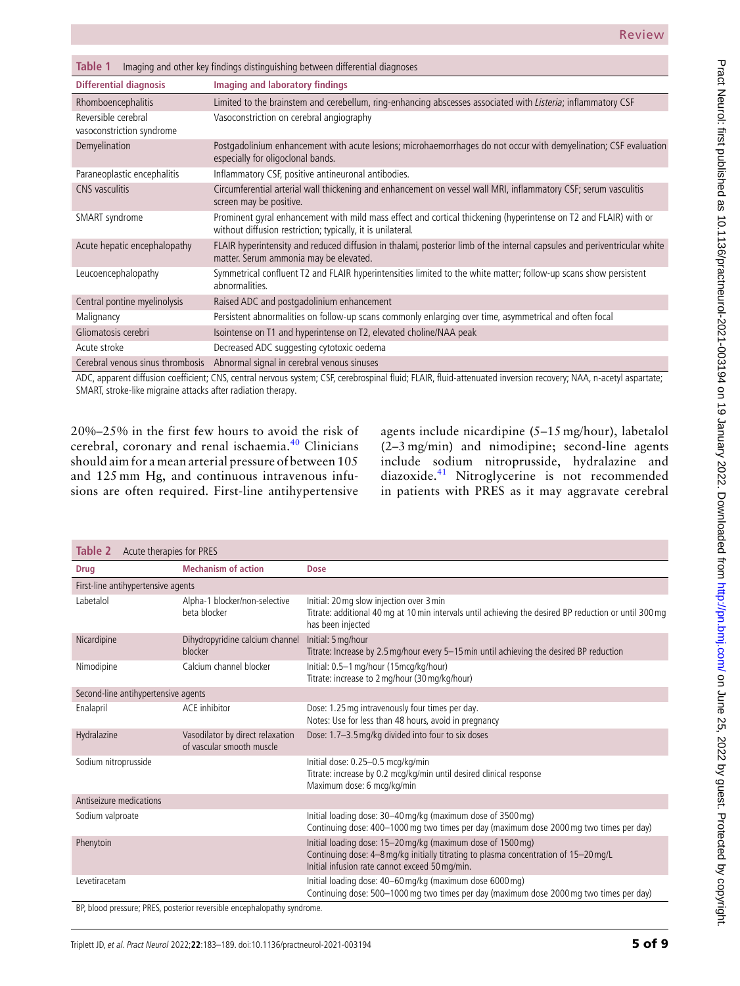<span id="page-4-0"></span>

| Table 1<br>Imaging and other key findings distinguishing between differential diagnoses |                                                                                                                                                                                 |  |  |
|-----------------------------------------------------------------------------------------|---------------------------------------------------------------------------------------------------------------------------------------------------------------------------------|--|--|
| <b>Differential diagnosis</b>                                                           | Imaging and laboratory findings                                                                                                                                                 |  |  |
| Rhomboencephalitis                                                                      | Limited to the brainstem and cerebellum, ring-enhancing abscesses associated with Listeria; inflammatory CSF                                                                    |  |  |
| Reversible cerebral<br>vasoconstriction syndrome                                        | Vasoconstriction on cerebral angiography                                                                                                                                        |  |  |
| Demyelination                                                                           | Postgadolinium enhancement with acute lesions; microhaemorrhages do not occur with demyelination; CSF evaluation<br>especially for oligoclonal bands.                           |  |  |
| Paraneoplastic encephalitis                                                             | Inflammatory CSF, positive antineuronal antibodies.                                                                                                                             |  |  |
| CNS vasculitis                                                                          | Circumferential arterial wall thickening and enhancement on vessel wall MRI, inflammatory CSF; serum vasculitis<br>screen may be positive.                                      |  |  |
| SMART syndrome                                                                          | Prominent gyral enhancement with mild mass effect and cortical thickening (hyperintense on T2 and FLAIR) with or<br>without diffusion restriction; typically, it is unilateral. |  |  |
| Acute hepatic encephalopathy                                                            | FLAIR hyperintensity and reduced diffusion in thalami, posterior limb of the internal capsules and periventricular white<br>matter. Serum ammonia may be elevated.              |  |  |
| Leucoencephalopathy                                                                     | Symmetrical confluent T2 and FLAIR hyperintensities limited to the white matter; follow-up scans show persistent<br>abnormalities.                                              |  |  |
| Central pontine myelinolysis                                                            | Raised ADC and postgadolinium enhancement                                                                                                                                       |  |  |
| Malignancy                                                                              | Persistent abnormalities on follow-up scans commonly enlarging over time, asymmetrical and often focal                                                                          |  |  |
| Gliomatosis cerebri                                                                     | Isointense on T1 and hyperintense on T2, elevated choline/NAA peak                                                                                                              |  |  |
| Acute stroke                                                                            | Decreased ADC suggesting cytotoxic oedema                                                                                                                                       |  |  |
| Cerebral venous sinus thrombosis                                                        | Abnormal signal in cerebral venous sinuses                                                                                                                                      |  |  |

ADC, apparent diffusion coefficient; CNS, central nervous system; CSF, cerebrospinal fluid; FLAIR, fluid-attenuated inversion recovery; NAA, n-acetyl aspartate; SMART, stroke-like migraine attacks after radiation therapy.

20%–25% in the first few hours to avoid the risk of cerebral, coronary and renal ischaemia.[40](#page-7-15) Clinicians should aim for a mean arterial pressure of between 105 and 125 mm Hg, and continuous intravenous infusions are often required. First-line antihypertensive

agents include nicardipine (5–15 mg/hour), labetalol (2–3 mg/min) and nimodipine; second-line agents include sodium nitroprusside, hydralazine and diazoxide.[41](#page-7-16) Nitroglycerine is not recommended in patients with PRES as it may aggravate cerebral

<span id="page-4-1"></span>

| <b>Table 2</b> Acute therapies for PRES                               |                                                               |                                                                                                                                                                                                       |  |
|-----------------------------------------------------------------------|---------------------------------------------------------------|-------------------------------------------------------------------------------------------------------------------------------------------------------------------------------------------------------|--|
| <b>Drug</b>                                                           | <b>Mechanism of action</b>                                    | <b>Dose</b>                                                                                                                                                                                           |  |
| First-line antihypertensive agents                                    |                                                               |                                                                                                                                                                                                       |  |
| Labetalol                                                             | Alpha-1 blocker/non-selective<br>beta blocker                 | Initial: 20 mg slow injection over 3 min<br>Titrate: additional 40 mg at 10 min intervals until achieving the desired BP reduction or until 300 mg<br>has been injected                               |  |
| Nicardipine                                                           | Dihydropyridine calcium channel<br>blocker                    | Initial: 5 mg/hour<br>Titrate: Increase by 2.5 mg/hour every 5-15 min until achieving the desired BP reduction                                                                                        |  |
| Nimodipine                                                            | Calcium channel blocker                                       | Initial: 0.5-1 mg/hour (15mcg/kg/hour)<br>Titrate: increase to 2 mg/hour (30 mg/kg/hour)                                                                                                              |  |
| Second-line antihypertensive agents                                   |                                                               |                                                                                                                                                                                                       |  |
| Enalapril                                                             | ACE inhibitor                                                 | Dose: 1.25 mg intravenously four times per day.<br>Notes: Use for less than 48 hours, avoid in pregnancy                                                                                              |  |
| Hydralazine                                                           | Vasodilator by direct relaxation<br>of vascular smooth muscle | Dose: 1.7-3.5 mg/kg divided into four to six doses                                                                                                                                                    |  |
| Sodium nitroprusside                                                  |                                                               | Initial dose: 0.25-0.5 mcg/kg/min<br>Titrate: increase by 0.2 mcg/kg/min until desired clinical response<br>Maximum dose: 6 mcg/kg/min                                                                |  |
| Antiseizure medications                                               |                                                               |                                                                                                                                                                                                       |  |
| Sodium valproate                                                      |                                                               | Initial loading dose: 30-40 mg/kg (maximum dose of 3500 mg)<br>Continuing dose: 400-1000 mg two times per day (maximum dose 2000 mg two times per day)                                                |  |
| Phenytoin                                                             |                                                               | Initial loading dose: 15-20 mg/kg (maximum dose of 1500 mg)<br>Continuing dose: 4-8 mg/kg initially titrating to plasma concentration of 15-20 mg/L<br>Initial infusion rate cannot exceed 50 mg/min. |  |
| Levetiracetam                                                         |                                                               | Initial loading dose: 40-60 mg/kg (maximum dose 6000 mg)<br>Continuing dose: 500-1000 mg two times per day (maximum dose 2000 mg two times per day)                                                   |  |
| RP blood pressure: PRES, posterior reversible encephalopathy syndrome |                                                               |                                                                                                                                                                                                       |  |

BP, blood pressure; PRES, posterior reversible encephalopathy syndrome.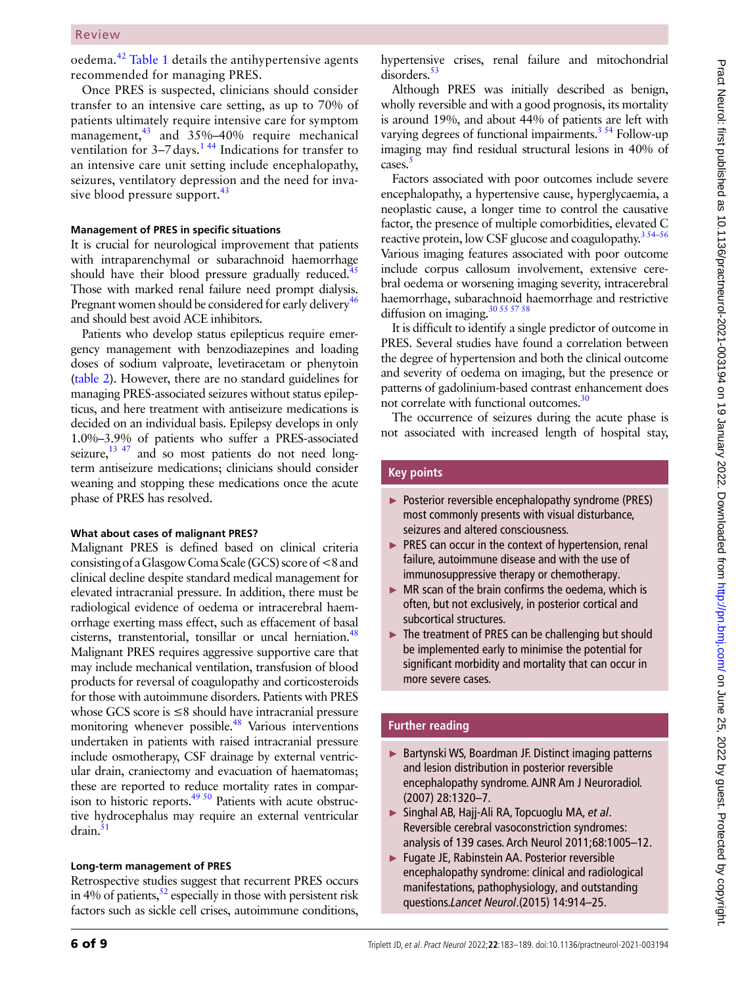#### Review

oedema.[42](#page-7-17) [Table](#page-4-0) 1 details the antihypertensive agents recommended for managing PRES.

Once PRES is suspected, clinicians should consider transfer to an intensive care setting, as up to 70% of patients ultimately require intensive care for symptom management, $43$  and 35%–40% require mechanical ventilation for  $3-7$  days.<sup>144</sup> Indications for transfer to an intensive care unit setting include encephalopathy, seizures, ventilatory depression and the need for inva-sive blood pressure support.<sup>[43](#page-7-18)</sup>

#### **Management of PRES in specific situations**

It is crucial for neurological improvement that patients with intraparenchymal or subarachnoid haemorrhage should have their blood pressure gradually reduced. $45$ Those with marked renal failure need prompt dialysis. Pregnant women should be considered for early delivery<sup>46</sup> and should best avoid ACE inhibitors.

Patients who develop status epilepticus require emergency management with benzodiazepines and loading doses of sodium valproate, levetiracetam or phenytoin [\(table](#page-4-1) 2). However, there are no standard guidelines for managing PRES-associated seizures without status epilepticus, and here treatment with antiseizure medications is decided on an individual basis. Epilepsy develops in only 1.0%–3.9% of patients who suffer a PRES-associated seizure,  $^{13}$   $^{47}$  and so most patients do not need longterm antiseizure medications; clinicians should consider weaning and stopping these medications once the acute phase of PRES has resolved.

#### **What about cases of malignant PRES?**

Malignant PRES is defined based on clinical criteria consisting of a Glasgow Coma Scale (GCS) score of<8and clinical decline despite standard medical management for elevated intracranial pressure. In addition, there must be radiological evidence of oedema or intracerebral haemorrhage exerting mass effect, such as effacement of basal cisterns, transtentorial, tonsillar or uncal herniation.<sup>48</sup> Malignant PRES requires aggressive supportive care that may include mechanical ventilation, transfusion of blood products for reversal of coagulopathy and corticosteroids for those with autoimmune disorders. Patients with PRES whose GCS score is ≤8 should have intracranial pressure monitoring whenever possible.<sup>48</sup> Various interventions undertaken in patients with raised intracranial pressure include osmotherapy, CSF drainage by external ventricular drain, craniectomy and evacuation of haematomas; these are reported to reduce mortality rates in comparison to historic reports[.49 50](#page-7-22) Patients with acute obstructive hydrocephalus may require an external ventricular  $d$ rain. $51$ 

#### **Long-term management of PRES**

Retrospective studies suggest that recurrent PRES occurs in 4% of patients,  $52$  especially in those with persistent risk factors such as sickle cell crises, autoimmune conditions,

hypertensive crises, renal failure and mitochondrial disorders.<sup>53</sup>

Although PRES was initially described as benign, wholly reversible and with a good prognosis, its mortality is around 19%, and about 44% of patients are left with varying degrees of functional impairments. $3^{34}$  Follow-up imaging may find residual structural lesions in 40% of cases.<sup>5</sup>

Factors associated with poor outcomes include severe encephalopathy, a hypertensive cause, hyperglycaemia, a neoplastic cause, a longer time to control the causative factor, the presence of multiple comorbidities, elevated C reactive protein, low CSF glucose and coagulopathy.<sup>354–56</sup> Various imaging features associated with poor outcome include corpus callosum involvement, extensive cerebral oedema or worsening imaging severity, intracerebral haemorrhage, subarachnoid haemorrhage and restrictive diffusion on imaging. $30\,55\,57\,58$ 

It is difficult to identify a single predictor of outcome in PRES. Several studies have found a correlation between the degree of hypertension and both the clinical outcome and severity of oedema on imaging, but the presence or patterns of gadolinium-based contrast enhancement does not correlate with functional outcomes.<sup>30</sup>

The occurrence of seizures during the acute phase is not associated with increased length of hospital stay,

## **Key points**

- ► Posterior reversible encephalopathy syndrome (PRES) most commonly presents with visual disturbance, seizures and altered consciousness.
- ► PRES can occur in the context of hypertension, renal failure, autoimmune disease and with the use of immunosuppressive therapy or chemotherapy.
- $\triangleright$  MR scan of the brain confirms the oedema, which is often, but not exclusively, in posterior cortical and subcortical structures.
- ► The treatment of PRES can be challenging but should be implemented early to minimise the potential for significant morbidity and mortality that can occur in more severe cases.

#### **Further reading**

- ► Bartynski WS, Boardman JF. Distinct imaging patterns and lesion distribution in posterior reversible encephalopathy syndrome. AJNR Am J Neuroradiol. (2007) 28:1320–7.
- ► Singhal AB, Hajj-Ali RA, Topcuoglu MA, *et al*. Reversible cerebral vasoconstriction syndromes: analysis of 139 cases. Arch Neurol 2011;68:1005–12.
- ► Fugate JE, Rabinstein AA. Posterior reversible encephalopathy syndrome: clinical and radiological manifestations, pathophysiology, and outstanding questions.*Lancet Neurol*.(2015) 14:914–25.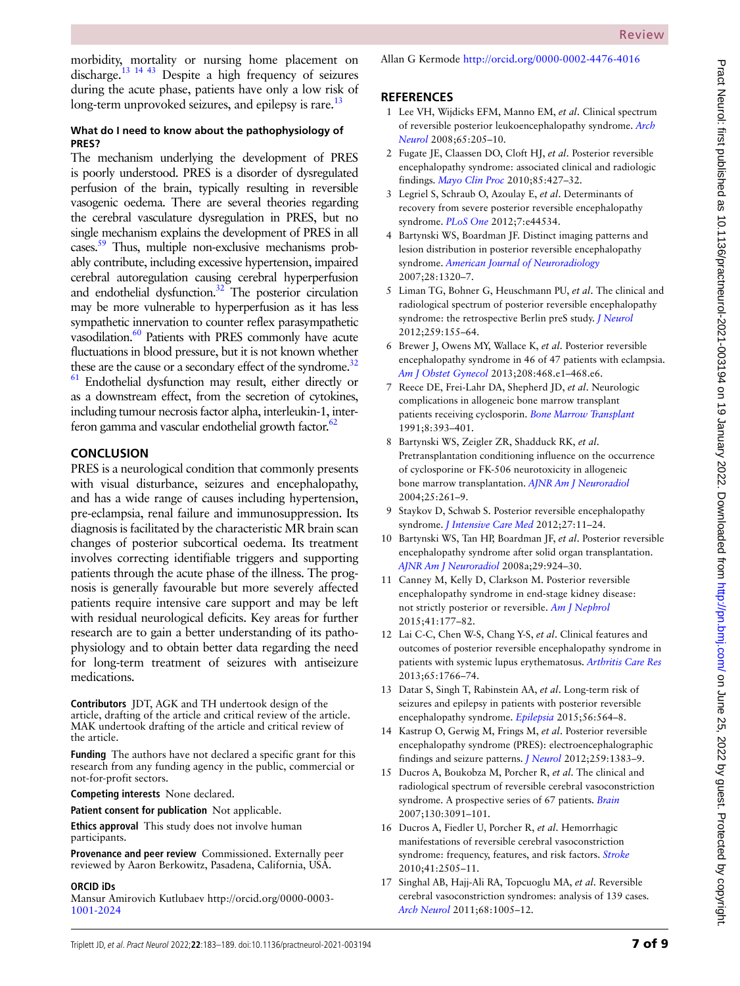## **What do I need to know about the pathophysiology of PRES?**

The mechanism underlying the development of PRES is poorly understood. PRES is a disorder of dysregulated perfusion of the brain, typically resulting in reversible vasogenic oedema. There are several theories regarding the cerebral vasculature dysregulation in PRES, but no single mechanism explains the development of PRES in all cases.<sup>59</sup> Thus, multiple non-exclusive mechanisms probably contribute, including excessive hypertension, impaired cerebral autoregulation causing cerebral hyperperfusion and endothelial dysfunction.<sup>32</sup> The posterior circulation may be more vulnerable to hyperperfusion as it has less sympathetic innervation to counter reflex parasympathetic vasodilation.<sup>60</sup> Patients with PRES commonly have acute fluctuations in blood pressure, but it is not known whether these are the cause or a secondary effect of the syndrome.<sup>32</sup>  $61$  Endothelial dysfunction may result, either directly or as a downstream effect, from the secretion of cytokines, including tumour necrosis factor alpha, interleukin-1, interferon gamma and vascular endothelial growth factor. $62$ 

# **Conclusion**

PRES is a neurological condition that commonly presents with visual disturbance, seizures and encephalopathy, and has a wide range of causes including hypertension, pre-eclampsia, renal failure and immunosuppression. Its diagnosis is facilitated by the characteristic MR brain scan changes of posterior subcortical oedema. Its treatment involves correcting identifiable triggers and supporting patients through the acute phase of the illness. The prognosis is generally favourable but more severely affected patients require intensive care support and may be left with residual neurological deficits. Key areas for further research are to gain a better understanding of its pathophysiology and to obtain better data regarding the need for long-term treatment of seizures with antiseizure medications.

**Contributors** JDT, AGK and TH undertook design of the article, drafting of the article and critical review of the article. MAK undertook drafting of the article and critical review of the article.

**Funding** The authors have not declared a specific grant for this research from any funding agency in the public, commercial or not-for-profit sectors.

**Competing interests** None declared.

**Patient consent for publication** Not applicable.

**Ethics approval** This study does not involve human participants.

**Provenance and peer review** Commissioned. Externally peer reviewed by Aaron Berkowitz, Pasadena, California, USA.

#### **ORCID iDs**

Mansur Amirovich Kutlubaev [http://orcid.org/0000-0003-](http://orcid.org/0000-0003-1001-2024) [1001-2024](http://orcid.org/0000-0003-1001-2024)

Allan G Kermode <http://orcid.org/0000-0002-4476-4016>

# **References**

- <span id="page-6-0"></span>1 Lee VH, Wijdicks EFM, Manno EM, *et al*. Clinical spectrum of reversible posterior leukoencephalopathy syndrome. *[Arch](http://dx.doi.org/10.1001/archneurol.2007.46)  [Neurol](http://dx.doi.org/10.1001/archneurol.2007.46)* 2008;65:205–10.
- 2 Fugate JE, Claassen DO, Cloft HJ, *et al*. Posterior reversible encephalopathy syndrome: associated clinical and radiologic findings. *[Mayo Clin Proc](http://dx.doi.org/10.4065/mcp.2009.0590)* 2010;85:427–32.
- <span id="page-6-6"></span>3 Legriel S, Schraub O, Azoulay E, *et al*. Determinants of recovery from severe posterior reversible encephalopathy syndrome. *[PLoS One](http://dx.doi.org/10.1371/journal.pone.0044534)* 2012;7:e44534.
- <span id="page-6-8"></span>4 Bartynski WS, Boardman JF. Distinct imaging patterns and lesion distribution in posterior reversible encephalopathy syndrome. *[American Journal of Neuroradiology](http://dx.doi.org/10.3174/ajnr.A0549)* 2007;28:1320–7.
- <span id="page-6-9"></span>5 Liman TG, Bohner G, Heuschmann PU, *et al*. The clinical and radiological spectrum of posterior reversible encephalopathy syndrome: the retrospective Berlin preS study. *[J Neurol](http://dx.doi.org/10.1007/s00415-011-6152-4)* 2012;259:155–64.
- <span id="page-6-2"></span>6 Brewer J, Owens MY, Wallace K, *et al*. Posterior reversible encephalopathy syndrome in 46 of 47 patients with eclampsia. *[Am J Obstet Gynecol](http://dx.doi.org/10.1016/j.ajog.2013.02.015)* 2013;208:468.e1–468.e6.
- <span id="page-6-1"></span>7 Reece DE, Frei-Lahr DA, Shepherd JD, *et al*. Neurologic complications in allogeneic bone marrow transplant patients receiving cyclosporin. *[Bone Marrow Transplant](http://www.ncbi.nlm.nih.gov/pubmed/1768975)* 1991;8:393–401.
- 8 Bartynski WS, Zeigler ZR, Shadduck RK, *et al*. Pretransplantation conditioning influence on the occurrence of cyclosporine or FK-506 neurotoxicity in allogeneic bone marrow transplantation. *[AJNR Am J Neuroradiol](http://www.ncbi.nlm.nih.gov/pubmed/14970028)* 2004;25:261–9.
- <span id="page-6-3"></span>9 Staykov D, Schwab S. Posterior reversible encephalopathy syndrome. *[J Intensive Care Med](http://dx.doi.org/10.1177/0885066610393634)* 2012;27:11–24.
- <span id="page-6-4"></span>10 Bartynski WS, Tan HP, Boardman JF, *et al*. Posterior reversible encephalopathy syndrome after solid organ transplantation. *[AJNR Am J Neuroradiol](http://dx.doi.org/10.3174/ajnr.A0960)* 2008a;29:924–30.
- 11 Canney M, Kelly D, Clarkson M. Posterior reversible encephalopathy syndrome in end-stage kidney disease: not strictly posterior or reversible. *[Am J Nephrol](http://dx.doi.org/10.1159/000381316)* 2015;41:177–82.
- 12 Lai C-C, Chen W-S, Chang Y-S, *et al*. Clinical features and outcomes of posterior reversible encephalopathy syndrome in patients with systemic lupus erythematosus. *[Arthritis Care Res](http://dx.doi.org/10.1002/acr.22047)* 2013;65:1766–74.
- <span id="page-6-5"></span>13 Datar S, Singh T, Rabinstein AA, *et al*. Long-term risk of seizures and epilepsy in patients with posterior reversible encephalopathy syndrome. *[Epilepsia](http://dx.doi.org/10.1111/epi.12933)* 2015;56:564–8.
- 14 Kastrup O, Gerwig M, Frings M, *et al*. Posterior reversible encephalopathy syndrome (PRES): electroencephalographic findings and seizure patterns. *[J Neurol](http://dx.doi.org/10.1007/s00415-011-6362-9)* 2012;259:1383–9.
- <span id="page-6-7"></span>15 Ducros A, Boukobza M, Porcher R, *et al*. The clinical and radiological spectrum of reversible cerebral vasoconstriction syndrome. A prospective series of 67 patients. *[Brain](http://dx.doi.org/10.1093/brain/awm256)* 2007;130:3091–101.
- 16 Ducros A, Fiedler U, Porcher R, *et al*. Hemorrhagic manifestations of reversible cerebral vasoconstriction syndrome: frequency, features, and risk factors. *[Stroke](http://dx.doi.org/10.1161/STROKEAHA.109.572313)* 2010;41:2505–11.
- 17 Singhal AB, Hajj-Ali RA, Topcuoglu MA, *et al*. Reversible cerebral vasoconstriction syndromes: analysis of 139 cases. *[Arch Neurol](http://dx.doi.org/10.1001/archneurol.2011.68)* 2011;68:1005–12.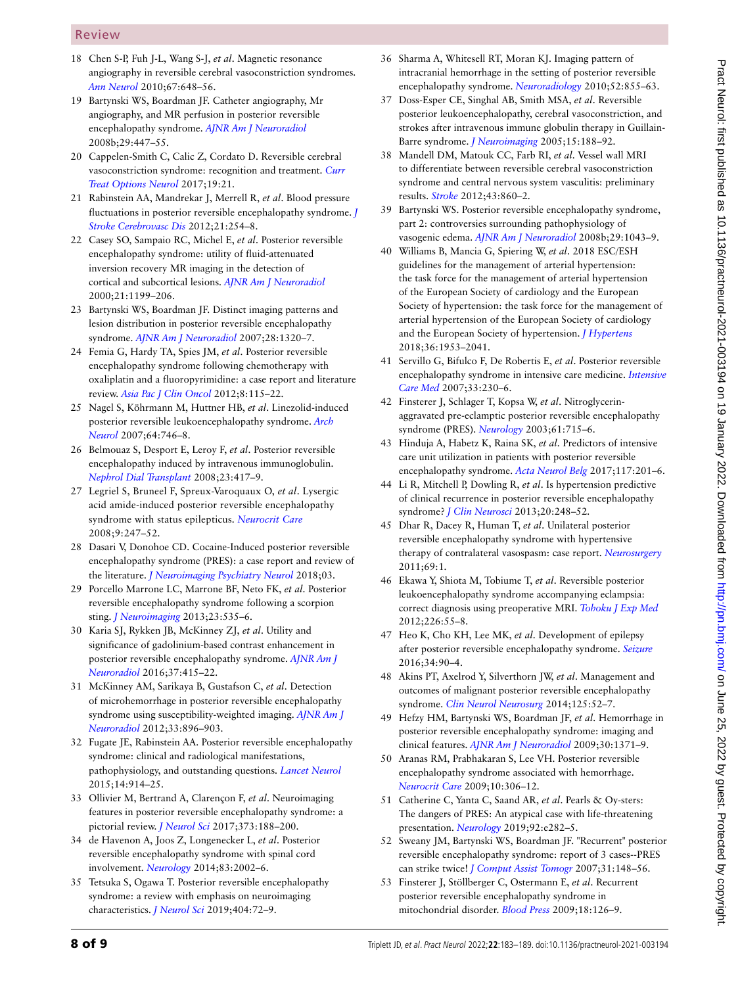## Review

- 18 Chen S-P, Fuh J-L, Wang S-J, *et al*. Magnetic resonance angiography in reversible cerebral vasoconstriction syndromes. *[Ann Neurol](http://dx.doi.org/10.1002/ana.21951)* 2010;67:648–56.
- 19 Bartynski WS, Boardman JF. Catheter angiography, Mr angiography, and MR perfusion in posterior reversible encephalopathy syndrome. *[AJNR Am J Neuroradiol](http://dx.doi.org/10.3174/ajnr.A0839)* 2008b;29:447–55.
- <span id="page-7-13"></span>20 Cappelen-Smith C, Calic Z, Cordato D. Reversible cerebral vasoconstriction syndrome: recognition and treatment. *[Curr](http://dx.doi.org/10.1007/s11940-017-0460-7)  [Treat Options Neurol](http://dx.doi.org/10.1007/s11940-017-0460-7)* 2017;19:21.
- 21 Rabinstein AA, Mandrekar J, Merrell R, *et al*. Blood pressure fluctuations in posterior reversible encephalopathy syndrome. *[J](http://dx.doi.org/10.1016/j.jstrokecerebrovasdis.2011.03.011)  [Stroke Cerebrovasc Dis](http://dx.doi.org/10.1016/j.jstrokecerebrovasdis.2011.03.011)* 2012;21:254–8.
- <span id="page-7-0"></span>22 Casey SO, Sampaio RC, Michel E, *et al*. Posterior reversible encephalopathy syndrome: utility of fluid-attenuated inversion recovery MR imaging in the detection of cortical and subcortical lesions. *[AJNR Am J Neuroradiol](http://www.ncbi.nlm.nih.gov/pubmed/10954269)* 2000;21:1199–206.
- <span id="page-7-6"></span>23 Bartynski WS, Boardman JF. Distinct imaging patterns and lesion distribution in posterior reversible encephalopathy syndrome. *[AJNR Am J Neuroradiol](http://dx.doi.org/10.3174/ajnr.A0549)* 2007;28:1320–7.
- 24 Femia G, Hardy TA, Spies JM, *et al*. Posterior reversible encephalopathy syndrome following chemotherapy with oxaliplatin and a fluoropyrimidine: a case report and literature review. *[Asia Pac J Clin Oncol](http://dx.doi.org/10.1111/j.1743-7563.2012.01544.x)* 2012;8:115–22.
- <span id="page-7-1"></span>25 Nagel S, Köhrmann M, Huttner HB, *et al*. Linezolid-induced posterior reversible leukoencephalopathy syndrome. *[Arch](http://dx.doi.org/10.1001/archneur.64.5.746)  [Neurol](http://dx.doi.org/10.1001/archneur.64.5.746)* 2007;64:746–8.
- <span id="page-7-2"></span>26 Belmouaz S, Desport E, Leroy F, *et al*. Posterior reversible encephalopathy induced by intravenous immunoglobulin. *[Nephrol Dial Transplant](http://dx.doi.org/10.1093/ndt/gfm594)* 2008;23:417–9.
- <span id="page-7-3"></span>27 Legriel S, Bruneel F, Spreux-Varoquaux O, *et al*. Lysergic acid amide-induced posterior reversible encephalopathy syndrome with status epilepticus. *[Neurocrit Care](http://dx.doi.org/10.1007/s12028-008-9096-5)* 2008;9:247–52.
- <span id="page-7-4"></span>28 Dasari V, Donohoe CD. Cocaine-Induced posterior reversible encephalopathy syndrome (PRES): a case report and review of the literature. *[J Neuroimaging Psychiatry Neurol](http://dx.doi.org/10.17756/jnpn.2018-025)* 2018;03.
- <span id="page-7-5"></span>29 Porcello Marrone LC, Marrone BF, Neto FK, *et al*. Posterior reversible encephalopathy syndrome following a scorpion sting. *[J Neuroimaging](http://dx.doi.org/10.1111/jon.12017)* 2013;23:535–6.
- <span id="page-7-26"></span>30 Karia SJ, Rykken JB, McKinney ZJ, *et al*. Utility and significance of gadolinium-based contrast enhancement in posterior reversible encephalopathy syndrome. *[AJNR Am J](http://dx.doi.org/10.3174/ajnr.A4563)  [Neuroradiol](http://dx.doi.org/10.3174/ajnr.A4563)* 2016;37:415–22.
- <span id="page-7-9"></span>31 McKinney AM, Sarikaya B, Gustafson C, *et al*. Detection of microhemorrhage in posterior reversible encephalopathy syndrome using susceptibility-weighted imaging. *[AJNR Am J](http://dx.doi.org/10.3174/ajnr.A2886)  [Neuroradiol](http://dx.doi.org/10.3174/ajnr.A2886)* 2012;33:896–903.
- <span id="page-7-14"></span>32 Fugate JE, Rabinstein AA. Posterior reversible encephalopathy syndrome: clinical and radiological manifestations, pathophysiology, and outstanding questions. *[Lancet Neurol](http://dx.doi.org/10.1016/S1474-4422(15)00111-8)* 2015;14:914–25.
- <span id="page-7-7"></span>33 Ollivier M, Bertrand A, Clarençon F, *et al*. Neuroimaging features in posterior reversible encephalopathy syndrome: a pictorial review. *[J Neurol Sci](http://dx.doi.org/10.1016/j.jns.2016.12.007)* 2017;373:188–200.
- <span id="page-7-8"></span>34 de Havenon A, Joos Z, Longenecker L, *et al*. Posterior reversible encephalopathy syndrome with spinal cord involvement. *[Neurology](http://dx.doi.org/10.1212/WNL.0000000000001026)* 2014;83:2002–6.
- 35 Tetsuka S, Ogawa T. Posterior reversible encephalopathy syndrome: a review with emphasis on neuroimaging characteristics. *[J Neurol Sci](http://dx.doi.org/10.1016/j.jns.2019.07.018)* 2019;404:72–9.
- 36 Sharma A, Whitesell RT, Moran KJ. Imaging pattern of intracranial hemorrhage in the setting of posterior reversible encephalopathy syndrome. *[Neuroradiology](http://dx.doi.org/10.1007/s00234-009-0632-6)* 2010;52:855–63.
- <span id="page-7-10"></span>37 Doss-Esper CE, Singhal AB, Smith MSA, *et al*. Reversible posterior leukoencephalopathy, cerebral vasoconstriction, and strokes after intravenous immune globulin therapy in Guillain-Barre syndrome. *[J Neuroimaging](http://dx.doi.org/10.1177/1051228404273820)* 2005;15:188–92.
- <span id="page-7-11"></span>38 Mandell DM, Matouk CC, Farb RI, *et al*. Vessel wall MRI to differentiate between reversible cerebral vasoconstriction syndrome and central nervous system vasculitis: preliminary results. *[Stroke](http://dx.doi.org/10.1161/STROKEAHA.111.626184)* 2012;43:860–2.
- <span id="page-7-12"></span>39 Bartynski WS. Posterior reversible encephalopathy syndrome, part 2: controversies surrounding pathophysiology of vasogenic edema. *[AJNR Am J Neuroradiol](http://dx.doi.org/10.3174/ajnr.A0929)* 2008b;29:1043–9.
- <span id="page-7-15"></span>40 Williams B, Mancia G, Spiering W, *et al*. 2018 ESC/ESH guidelines for the management of arterial hypertension: the task force for the management of arterial hypertension of the European Society of cardiology and the European Society of hypertension: the task force for the management of arterial hypertension of the European Society of cardiology and the European Society of hypertension. *[J Hypertens](http://dx.doi.org/10.1097/HJH.0000000000001940)* 2018;36:1953–2041.
- <span id="page-7-16"></span>41 Servillo G, Bifulco F, De Robertis E, *et al*. Posterior reversible encephalopathy syndrome in intensive care medicine. *[Intensive](http://dx.doi.org/10.1007/s00134-006-0459-0)  [Care Med](http://dx.doi.org/10.1007/s00134-006-0459-0)* 2007;33:230–6.
- <span id="page-7-17"></span>42 Finsterer J, Schlager T, Kopsa W, *et al*. Nitroglycerinaggravated pre-eclamptic posterior reversible encephalopathy syndrome (PRES). *[Neurology](http://dx.doi.org/10.1212/01.WNL.0000080369.87484.06)* 2003;61:715–6.
- <span id="page-7-18"></span>43 Hinduja A, Habetz K, Raina SK, *et al*. Predictors of intensive care unit utilization in patients with posterior reversible encephalopathy syndrome. *[Acta Neurol Belg](http://dx.doi.org/10.1007/s13760-016-0703-5)* 2017;117:201–6.
- 44 Li R, Mitchell P, Dowling R, *et al*. Is hypertension predictive of clinical recurrence in posterior reversible encephalopathy syndrome? *[J Clin Neurosci](http://dx.doi.org/10.1016/j.jocn.2012.02.023)* 2013;20:248–52.
- <span id="page-7-19"></span>45 Dhar R, Dacey R, Human T, *et al*. Unilateral posterior reversible encephalopathy syndrome with hypertensive therapy of contralateral vasospasm: case report. *[Neurosurgery](http://dx.doi.org/10.1227/NEU.0b013e318223b995)* 2011;69:1.
- <span id="page-7-20"></span>46 Ekawa Y, Shiota M, Tobiume T, *et al*. Reversible posterior leukoencephalopathy syndrome accompanying eclampsia: correct diagnosis using preoperative MRI. *[Tohoku J Exp Med](http://dx.doi.org/10.1620/tjem.226.55)* 2012;226:55–8.
- 47 Heo K, Cho KH, Lee MK, *et al*. Development of epilepsy after posterior reversible encephalopathy syndrome. *[Seizure](http://dx.doi.org/10.1016/j.seizure.2015.12.005)* 2016;34:90–4.
- <span id="page-7-21"></span>48 Akins PT, Axelrod Y, Silverthorn JW, *et al*. Management and outcomes of malignant posterior reversible encephalopathy syndrome. *[Clin Neurol Neurosurg](http://dx.doi.org/10.1016/j.clineuro.2014.06.034)* 2014;125:52–7.
- <span id="page-7-22"></span>49 Hefzy HM, Bartynski WS, Boardman JF, *et al*. Hemorrhage in posterior reversible encephalopathy syndrome: imaging and clinical features. *[AJNR Am J Neuroradiol](http://dx.doi.org/10.3174/ajnr.A1588)* 2009;30:1371–9.
- 50 Aranas RM, Prabhakaran S, Lee VH. Posterior reversible encephalopathy syndrome associated with hemorrhage. *[Neurocrit Care](http://dx.doi.org/10.1007/s12028-009-9200-5)* 2009;10:306–12.
- <span id="page-7-23"></span>51 Catherine C, Yanta C, Saand AR, *et al*. Pearls & Oy-sters: The dangers of PRES: An atypical case with life-threatening presentation. *[Neurology](http://dx.doi.org/10.1212/WNL.0000000000006775)* 2019;92:e282–5.
- <span id="page-7-24"></span>52 Sweany JM, Bartynski WS, Boardman JF. "Recurrent" posterior reversible encephalopathy syndrome: report of 3 cases--PRES can strike twice! *[J Comput Assist Tomogr](http://dx.doi.org/10.1097/01.rct.0000233127.21303.b9)* 2007;31:148–56.
- <span id="page-7-25"></span>53 Finsterer J, Stöllberger C, Ostermann E, *et al*. Recurrent posterior reversible encephalopathy syndrome in mitochondrial disorder. *[Blood Press](http://dx.doi.org/10.1080/08037050902975106)* 2009;18:126–9.